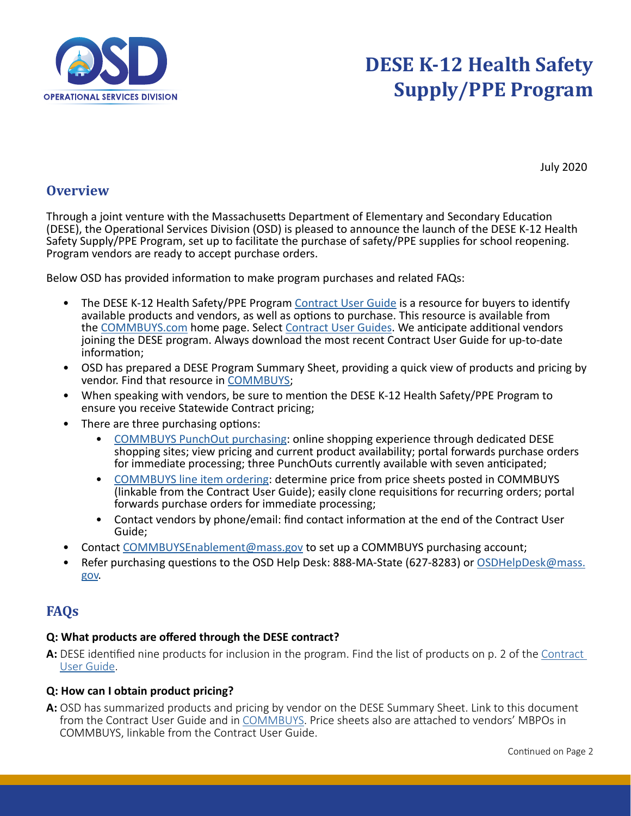

# **DESE K-12 Health Safety Supply/PPE Program**

July 2020

### **Overview**

Through a joint venture with the Massachusetts Department of Elementary and Secondary Education (DESE), the Operational Services Division (OSD) is pleased to announce the launch of the DESE K-12 Health Safety Supply/PPE Program, set up to facilitate the purchase of safety/PPE supplies for school reopening. Program vendors are ready to accept purchase orders.

Below OSD has provided information to make program purchases and related FAQs:

- The DESE K-12 Health Safety/PPE Program [Contract User Guide](https://www.mass.gov/service-details/dese-k-12-program) is a resource for buyers to identify available products and vendors, as well as options to purchase. This resource is available from the [COMMBUYS.com](https://www.commbuys.com/bso/view/login/login.xhtml) home page. Select [Contract User Guides](https://www.mass.gov/service-details/find-a-statewide-contract-user-guide). We anticipate additional vendors joining the DESE program. Always download the most recent Contract User Guide for up-to-date information;
- OSD has prepared a DESE Program Summary Sheet, providing a quick view of products and pricing by vendor. Find that resource in [COMMBUYS](https://www.commbuys.com/bso/external/purchaseorder/poSummary.sdo?docId=PO-21-1080-OSD03-SRC02-19681&releaseNbr=0&parentUrl=contract);
- When speaking with vendors, be sure to mention the DESE K-12 Health Safety/PPE Program to ensure you receive Statewide Contract pricing;
- There are three purchasing options:
	- [COMMBUYS PunchOut purchasing](https://www.mass.gov/doc/qrg-creating-a-punchout-order/download): online shopping experience through dedicated DESE shopping sites; view pricing and current product availability; portal forwards purchase orders for immediate processing; three PunchOuts currently available with seven anticipated;
	- [COMMBUYS line item ordering:](https://www.mass.gov/doc/how-to-make-a-statewide-contact-purchase-in-commbuys/download) determine price from price sheets posted in COMMBUYS (linkable from the Contract User Guide); easily clone requisitions for recurring orders; portal forwards purchase orders for immediate processing;
	- Contact vendors by phone/email: find contact information at the end of the Contract User Guide;
- Contact [COMMBUYSEnablement@mass.gov](mailto:COMMBUYSEnablement%40mass.gov?subject=) to set up a COMMBUYS purchasing account;
- Refer purchasing questions to the OSD Help Desk: 888-MA-State (627-8283) or [OSDHelpDesk@mass.](mailto:OSDHelpDesk%40mass.gov?subject=) [gov](mailto:OSDHelpDesk%40mass.gov?subject=).

### **FAQs**

### **Q: What products are offered through the DESE contract?**

**A:** DESE identified nine products for inclusion in the program. Find the list of products on p. 2 of the [Contract](https://www.mass.gov/service-details/dese-k-12-program)  [User Guide.](https://www.mass.gov/service-details/dese-k-12-program)

### **Q: How can I obtain product pricing?**

**A:** OSD has summarized products and pricing by vendor on the DESE Summary Sheet. Link to this document from the Contract User Guide and in [COMMBUYS](https://www.commbuys.com/bso/external/purchaseorder/poSummary.sdo?docId=PO-21-1080-OSD03-SRC02-19681&releaseNbr=0&parentUrl=contract). Price sheets also are attached to vendors' MBPOs in COMMBUYS, linkable from the Contract User Guide.